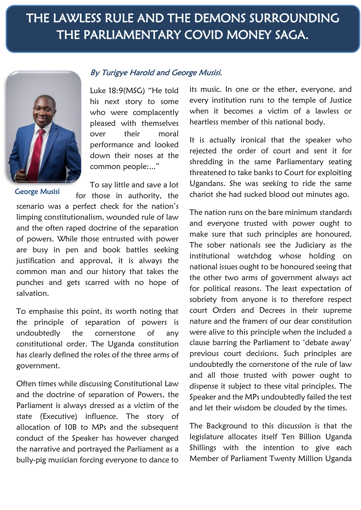## THE LAWLESS RULE AND THE DEMONS SURROUNDING THE PARLIAMENTARY COVID MONEY SAGA.



## By Turigye Harold and George Musisi.

Luke 18:9(MSG) "He told his next story to some who were complacently pleased with themselves over their moral performance and looked down their noses at the common people:..."

To say little and save a lot

for those in authority, the scenario was a perfect check for the nation's limping constitutionalism, wounded rule of law and the often raped doctrine of the separation of powers. While those entrusted with power are busy in pen and book battles seeking justification and approval, it is always the common man and our history that takes the punches and gets scarred with no hope of salvation. George Musisi

To emphasise this point, its worth noting that the principle of separation of powers is undoubtedly the cornerstone of any constitutional order. The Uganda constitution has clearly defined the roles of the three arms of government.

Often times while discussing Constitutional Law and the doctrine of separation of Powers, the Parliament is always dressed as a victim of the state (Executive) influence. The story of allocation of 10B to MPs and the subsequent conduct of the Speaker has however changed the narrative and portrayed the Parliament as a bully-pig musician forcing everyone to dance to

its music. In one or the ether, everyone, and every institution runs to the temple of Justice when it becomes a victim of a lawless or heartless member of this national body.

It is actually ironical that the speaker who rejected the order of court and sent it for shredding in the same Parliamentary seating threatened to take banks to Court for exploiting Ugandans. She was seeking to ride the same chariot she had sucked blood out minutes ago.

The nation runs on the bare minimum standards and everyone trusted with power ought to make sure that such principles are honoured. The sober nationals see the Judiciary as the institutional watchdog whose holding on national issues ought to be honoured seeing that the other two arms of government always act for political reasons. The least expectation of sobriety from anyone is to therefore respect court Orders and Decrees in their supreme nature and the framers of our dear constitution were alive to this principle when the included a clause barring the Parliament to 'debate away' previous court decisions. Such principles are undoubtedly the cornerstone of the rule of law and all those trusted with power ought to dispense it subject to these vital principles. The Speaker and the MPs undoubtedly failed the test and let their wisdom be clouded by the times.

The Background to this discussion is that the legislature allocates itself Ten Billion Uganda Shillings with the intention to give each Member of Parliament Twenty Million Uganda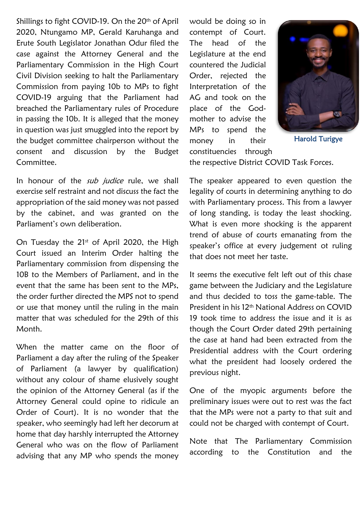Shillings to fight COVID-19. On the 20<sup>th</sup> of April 2020, Ntungamo MP, Gerald Karuhanga and Erute South Legislator Jonathan Odur filed the case against the Attorney General and the Parliamentary Commission in the High Court Civil Division seeking to halt the Parliamentary Commission from paying 10b to MPs to fight COVID-19 arguing that the Parliament had breached the Parliamentary rules of Procedure in passing the 10b. It is alleged that the money in question was just smuggled into the report by the budget committee chairperson without the consent and discussion by the Budget Committee.

In honour of the sub judice rule, we shall exercise self restraint and not discuss the fact the appropriation of the said money was not passed by the cabinet, and was granted on the Parliament's own deliberation.

On Tuesday the  $21<sup>st</sup>$  of April 2020, the High Court issued an Interim Order halting the Parliamentary commission from dispensing the 10B to the Members of Parliament, and in the event that the same has been sent to the MPs, the order further directed the MPS not to spend or use that money until the ruling in the main matter that was scheduled for the 29th of this Month.

When the matter came on the floor of Parliament a day after the ruling of the Speaker of Parliament (a lawyer by qualification) without any colour of shame elusively sought the opinion of the Attorney General (as if the Attorney General could opine to ridicule an Order of Court). It is no wonder that the speaker, who seemingly had left her decorum at home that day harshly interrupted the Attorney General who was on the flow of Parliament advising that any MP who spends the money would be doing so in contempt of Court. The head of the Legislature at the end countered the Judicial Order, rejected the Interpretation of the AG and took on the place of the Godmother to advise the MPs to spend the money in their constituencies through



Harold Turigye

the respective District COVID Task Forces.

The speaker appeared to even question the legality of courts in determining anything to do with Parliamentary process. This from a lawyer of long standing, is today the least shocking. What is even more shocking is the apparent trend of abuse of courts emanating from the speaker's office at every judgement ot ruling that does not meet her taste.

It seems the executive felt left out of this chase game between the Judiciary and the Legislature and thus decided to toss the game-table. The President in his 12th National Address on COVID 19 took time to address the issue and it is as though the Court Order dated 29th pertaining the case at hand had been extracted from the Presidential address with the Court ordering what the president had loosely ordered the previous night.

One of the myopic arguments before the preliminary issues were out to rest was the fact that the MPs were not a party to that suit and could not be charged with contempt of Court.

Note that The Parliamentary Commission according to the Constitution and the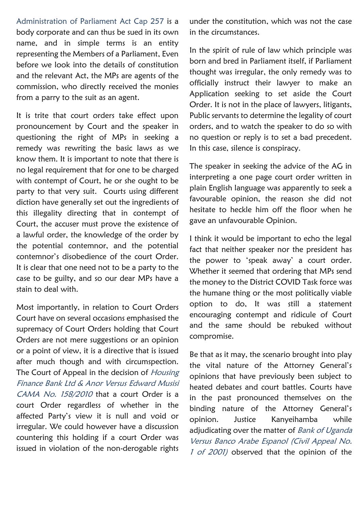Administration of Parliament Act Cap 257 is a body corporate and can thus be sued in its own name, and in simple terms is an entity representing the Members of a Parliament, Even before we look into the details of constitution and the relevant Act, the MPs are agents of the commission, who directly received the monies from a parry to the suit as an agent.

It is trite that court orders take effect upon pronouncement by Court and the speaker in questioning the right of MPs in seeking a remedy was rewriting the basic laws as we know them. It is important to note that there is no legal requirement that for one to be charged with contempt of Court, he or she ought to be party to that very suit. Courts using different diction have generally set out the ingredients of this illegality directing that in contempt of Court, the accuser must prove the existence of a lawful order, the knowledge of the order by the potential contemnor, and the potential contemnor's disobedience of the court Order. It is clear that one need not to be a party to the case to be guilty, and so our dear MPs have a stain to deal with.

Most importantly, in relation to Court Orders Court have on several occasions emphasised the supremacy of Court Orders holding that Court Orders are not mere suggestions or an opinion or a point of view, it is a directive that is issued after much though and with circumspection. The Court of Appeal in the decision of Housing Finance Bank Ltd & Anor Versus Edward Musisi CAMA No. 158/2010 that a court Order is a court Order regardless of whether in the affected Party's view it is null and void or irregular. We could however have a discussion countering this holding if a court Order was issued in violation of the non-derogable rights

under the constitution, which was not the case in the circumstances.

In the spirit of rule of law which principle was born and bred in Parliament itself, if Parliament thought was irregular, the only remedy was to officially instruct their lawyer to make an Application seeking to set aside the Court Order. It is not in the place of lawyers, litigants, Public servants to determine the legality of court orders, and to watch the speaker to do so with no question or reply is to set a bad precedent. In this case, silence is conspiracy.

The speaker in seeking the advice of the AG in interpreting a one page court order written in plain English language was apparently to seek a favourable opinion, the reason she did not hesitate to heckle him off the floor when he gave an unfavourable Opinion.

I think it would be important to echo the legal fact that neither speaker nor the president has the power to 'speak away' a court order. Whether it seemed that ordering that MPs send the money to the District COVID Task force was the humane thing or the most politically viable option to do, It was still a statement encouraging contempt and ridicule of Court and the same should be rebuked without compromise.

Be that as it may, the scenario brought into play the vital nature of the Attorney General's opinions that have previously been subject to heated debates and court battles. Courts have in the past pronounced themselves on the binding nature of the Attorney General's opinion. Justice Kanyeihamba while adjudicating over the matter of Bank of Uganda Versus Banco Arabe Espanol (Civil Appeal No. 1 of 2001) observed that the opinion of the